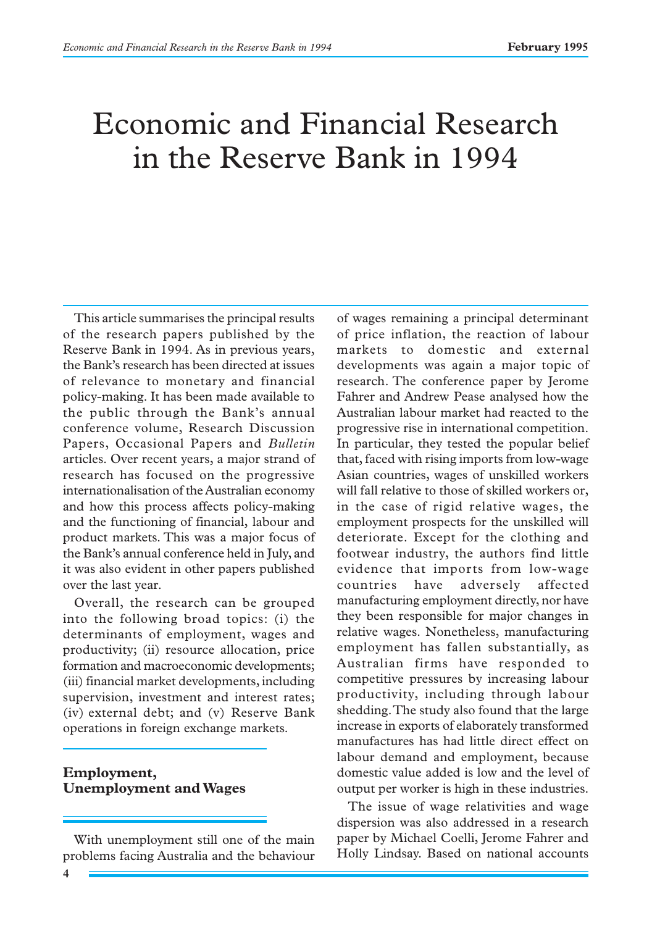# Economic and Financial Research in the Reserve Bank in 1994

This article summarises the principal results of the research papers published by the Reserve Bank in 1994. As in previous years, the Bank's research has been directed at issues of relevance to monetary and financial policy-making. It has been made available to the public through the Bank's annual conference volume, Research Discussion Papers, Occasional Papers and *Bulletin* articles. Over recent years, a major strand of research has focused on the progressive internationalisation of the Australian economy and how this process affects policy-making and the functioning of financial, labour and product markets. This was a major focus of the Bank's annual conference held in July, and it was also evident in other papers published over the last year.

Overall, the research can be grouped into the following broad topics: (i) the determinants of employment, wages and productivity; (ii) resource allocation, price formation and macroeconomic developments; (iii) financial market developments, including supervision, investment and interest rates; (iv) external debt; and (v) Reserve Bank operations in foreign exchange markets.

#### **Employment, Unemployment and Wages**

With unemployment still one of the main problems facing Australia and the behaviour

of wages remaining a principal determinant of price inflation, the reaction of labour markets to domestic and external developments was again a major topic of research. The conference paper by Jerome Fahrer and Andrew Pease analysed how the Australian labour market had reacted to the progressive rise in international competition. In particular, they tested the popular belief that, faced with rising imports from low-wage Asian countries, wages of unskilled workers will fall relative to those of skilled workers or, in the case of rigid relative wages, the employment prospects for the unskilled will deteriorate. Except for the clothing and footwear industry, the authors find little evidence that imports from low-wage countries have adversely affected manufacturing employment directly, nor have they been responsible for major changes in relative wages. Nonetheless, manufacturing employment has fallen substantially, as Australian firms have responded to competitive pressures by increasing labour productivity, including through labour shedding. The study also found that the large increase in exports of elaborately transformed manufactures has had little direct effect on labour demand and employment, because domestic value added is low and the level of output per worker is high in these industries.

The issue of wage relativities and wage dispersion was also addressed in a research paper by Michael Coelli, Jerome Fahrer and Holly Lindsay. Based on national accounts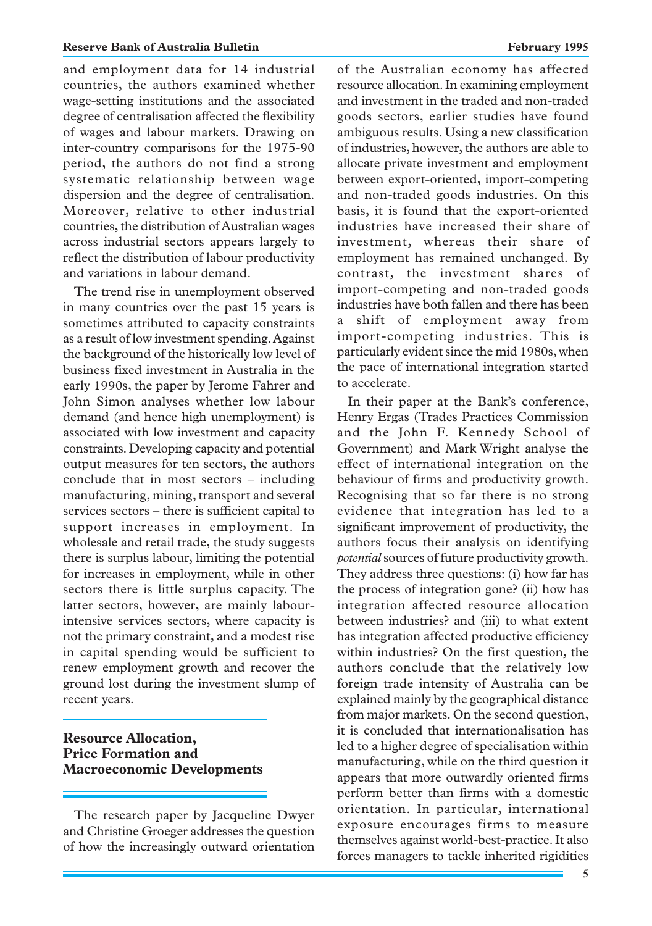and employment data for 14 industrial countries, the authors examined whether wage-setting institutions and the associated degree of centralisation affected the flexibility of wages and labour markets. Drawing on inter-country comparisons for the 1975-90 period, the authors do not find a strong systematic relationship between wage dispersion and the degree of centralisation. Moreover, relative to other industrial countries, the distribution of Australian wages across industrial sectors appears largely to reflect the distribution of labour productivity and variations in labour demand.

The trend rise in unemployment observed in many countries over the past 15 years is sometimes attributed to capacity constraints as a result of low investment spending. Against the background of the historically low level of business fixed investment in Australia in the early 1990s, the paper by Jerome Fahrer and John Simon analyses whether low labour demand (and hence high unemployment) is associated with low investment and capacity constraints. Developing capacity and potential output measures for ten sectors, the authors conclude that in most sectors – including manufacturing, mining, transport and several services sectors – there is sufficient capital to support increases in employment. In wholesale and retail trade, the study suggests there is surplus labour, limiting the potential for increases in employment, while in other sectors there is little surplus capacity. The latter sectors, however, are mainly labourintensive services sectors, where capacity is not the primary constraint, and a modest rise in capital spending would be sufficient to renew employment growth and recover the ground lost during the investment slump of recent years.

# **Resource Allocation, Price Formation and Macroeconomic Developments**

The research paper by Jacqueline Dwyer and Christine Groeger addresses the question of how the increasingly outward orientation of the Australian economy has affected resource allocation. In examining employment and investment in the traded and non-traded goods sectors, earlier studies have found ambiguous results. Using a new classification of industries, however, the authors are able to allocate private investment and employment between export-oriented, import-competing and non-traded goods industries. On this basis, it is found that the export-oriented industries have increased their share of investment, whereas their share of employment has remained unchanged. By contrast, the investment shares of import-competing and non-traded goods industries have both fallen and there has been a shift of employment away from import-competing industries. This is particularly evident since the mid 1980s, when the pace of international integration started to accelerate.

In their paper at the Bank's conference, Henry Ergas (Trades Practices Commission and the John F. Kennedy School of Government) and Mark Wright analyse the effect of international integration on the behaviour of firms and productivity growth. Recognising that so far there is no strong evidence that integration has led to a significant improvement of productivity, the authors focus their analysis on identifying *potential*sources of future productivity growth. They address three questions: (i) how far has the process of integration gone? (ii) how has integration affected resource allocation between industries? and (iii) to what extent has integration affected productive efficiency within industries? On the first question, the authors conclude that the relatively low foreign trade intensity of Australia can be explained mainly by the geographical distance from major markets. On the second question, it is concluded that internationalisation has led to a higher degree of specialisation within manufacturing, while on the third question it appears that more outwardly oriented firms perform better than firms with a domestic orientation. In particular, international exposure encourages firms to measure themselves against world-best-practice. It also forces managers to tackle inherited rigidities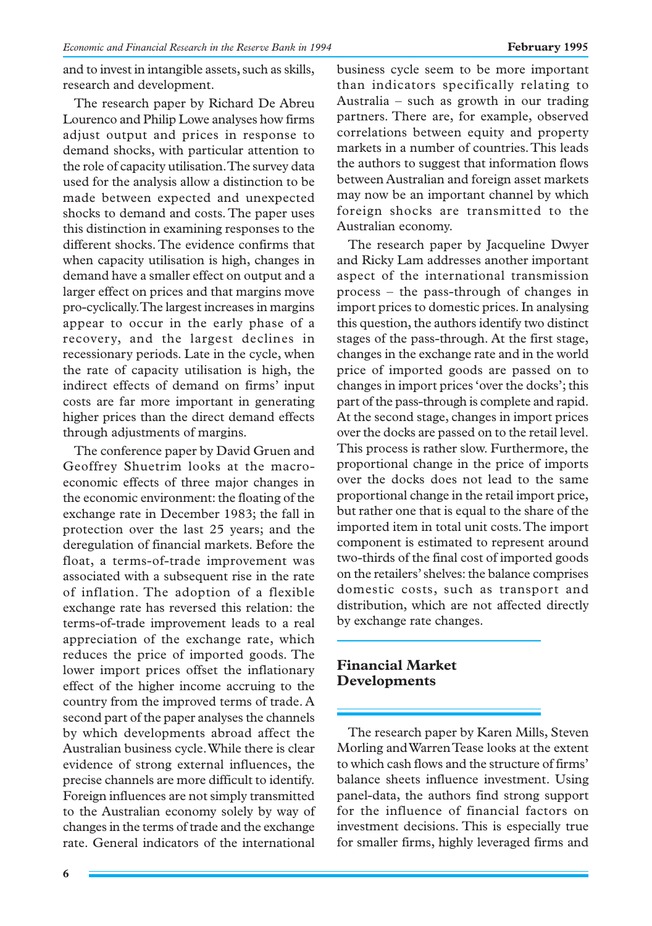and to invest in intangible assets, such as skills, research and development.

The research paper by Richard De Abreu Lourenco and Philip Lowe analyses how firms adjust output and prices in response to demand shocks, with particular attention to the role of capacity utilisation. The survey data used for the analysis allow a distinction to be made between expected and unexpected shocks to demand and costs. The paper uses this distinction in examining responses to the different shocks. The evidence confirms that when capacity utilisation is high, changes in demand have a smaller effect on output and a larger effect on prices and that margins move pro-cyclically. The largest increases in margins appear to occur in the early phase of a recovery, and the largest declines in recessionary periods. Late in the cycle, when the rate of capacity utilisation is high, the indirect effects of demand on firms' input costs are far more important in generating higher prices than the direct demand effects through adjustments of margins.

The conference paper by David Gruen and Geoffrey Shuetrim looks at the macroeconomic effects of three major changes in the economic environment: the floating of the exchange rate in December 1983; the fall in protection over the last 25 years; and the deregulation of financial markets. Before the float, a terms-of-trade improvement was associated with a subsequent rise in the rate of inflation. The adoption of a flexible exchange rate has reversed this relation: the terms-of-trade improvement leads to a real appreciation of the exchange rate, which reduces the price of imported goods. The lower import prices offset the inflationary effect of the higher income accruing to the country from the improved terms of trade. A second part of the paper analyses the channels by which developments abroad affect the Australian business cycle. While there is clear evidence of strong external influences, the precise channels are more difficult to identify. Foreign influences are not simply transmitted to the Australian economy solely by way of changes in the terms of trade and the exchange rate. General indicators of the international business cycle seem to be more important than indicators specifically relating to Australia – such as growth in our trading partners. There are, for example, observed correlations between equity and property markets in a number of countries. This leads the authors to suggest that information flows between Australian and foreign asset markets may now be an important channel by which foreign shocks are transmitted to the Australian economy.

The research paper by Jacqueline Dwyer and Ricky Lam addresses another important aspect of the international transmission process – the pass-through of changes in import prices to domestic prices. In analysing this question, the authors identify two distinct stages of the pass-through. At the first stage, changes in the exchange rate and in the world price of imported goods are passed on to changes in import prices 'over the docks'; this part of the pass-through is complete and rapid. At the second stage, changes in import prices over the docks are passed on to the retail level. This process is rather slow. Furthermore, the proportional change in the price of imports over the docks does not lead to the same proportional change in the retail import price, but rather one that is equal to the share of the imported item in total unit costs. The import component is estimated to represent around two-thirds of the final cost of imported goods on the retailers' shelves: the balance comprises domestic costs, such as transport and distribution, which are not affected directly by exchange rate changes.

## **Financial Market Developments**

The research paper by Karen Mills, Steven Morling and Warren Tease looks at the extent to which cash flows and the structure of firms' balance sheets influence investment. Using panel-data, the authors find strong support for the influence of financial factors on investment decisions. This is especially true for smaller firms, highly leveraged firms and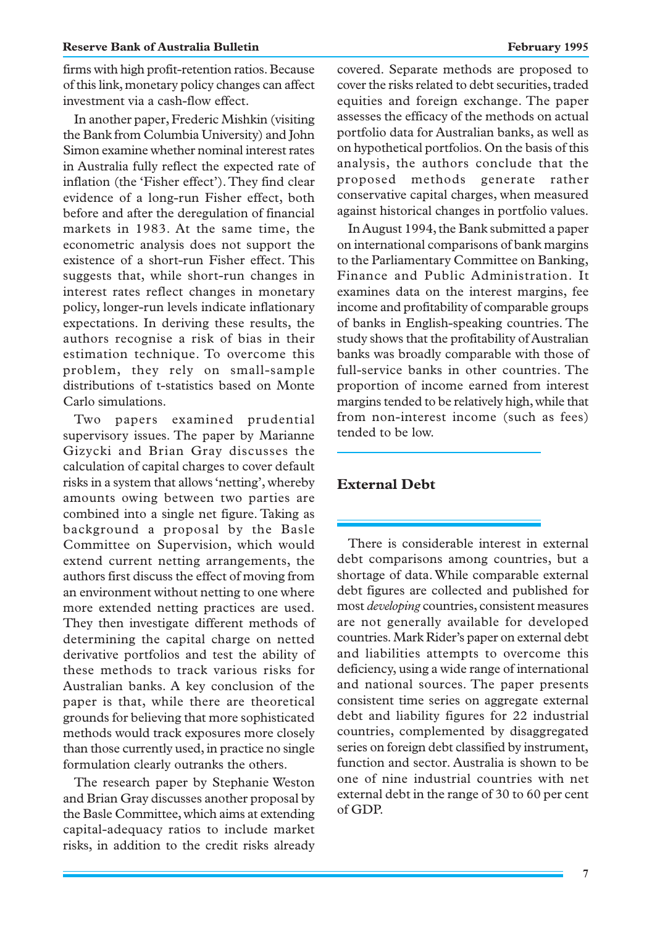firms with high profit-retention ratios. Because of this link, monetary policy changes can affect investment via a cash-flow effect.

In another paper, Frederic Mishkin (visiting the Bank from Columbia University) and John Simon examine whether nominal interest rates in Australia fully reflect the expected rate of inflation (the 'Fisher effect'). They find clear evidence of a long-run Fisher effect, both before and after the deregulation of financial markets in 1983. At the same time, the econometric analysis does not support the existence of a short-run Fisher effect. This suggests that, while short-run changes in interest rates reflect changes in monetary policy, longer-run levels indicate inflationary expectations. In deriving these results, the authors recognise a risk of bias in their estimation technique. To overcome this problem, they rely on small-sample distributions of t-statistics based on Monte Carlo simulations.

Two papers examined prudential supervisory issues. The paper by Marianne Gizycki and Brian Gray discusses the calculation of capital charges to cover default risks in a system that allows 'netting', whereby amounts owing between two parties are combined into a single net figure. Taking as background a proposal by the Basle Committee on Supervision, which would extend current netting arrangements, the authors first discuss the effect of moving from an environment without netting to one where more extended netting practices are used. They then investigate different methods of determining the capital charge on netted derivative portfolios and test the ability of these methods to track various risks for Australian banks. A key conclusion of the paper is that, while there are theoretical grounds for believing that more sophisticated methods would track exposures more closely than those currently used, in practice no single formulation clearly outranks the others.

The research paper by Stephanie Weston and Brian Gray discusses another proposal by the Basle Committee, which aims at extending capital-adequacy ratios to include market risks, in addition to the credit risks already covered. Separate methods are proposed to cover the risks related to debt securities, traded equities and foreign exchange. The paper assesses the efficacy of the methods on actual portfolio data for Australian banks, as well as on hypothetical portfolios. On the basis of this analysis, the authors conclude that the proposed methods generate rather conservative capital charges, when measured against historical changes in portfolio values.

In August 1994, the Bank submitted a paper on international comparisons of bank margins to the Parliamentary Committee on Banking, Finance and Public Administration. It examines data on the interest margins, fee income and profitability of comparable groups of banks in English-speaking countries. The study shows that the profitability of Australian banks was broadly comparable with those of full-service banks in other countries. The proportion of income earned from interest margins tended to be relatively high, while that from non-interest income (such as fees) tended to be low.

# **External Debt**

There is considerable interest in external debt comparisons among countries, but a shortage of data. While comparable external debt figures are collected and published for most *developing* countries, consistent measures are not generally available for developed countries. Mark Rider's paper on external debt and liabilities attempts to overcome this deficiency, using a wide range of international and national sources. The paper presents consistent time series on aggregate external debt and liability figures for 22 industrial countries, complemented by disaggregated series on foreign debt classified by instrument, function and sector. Australia is shown to be one of nine industrial countries with net external debt in the range of 30 to 60 per cent of GDP.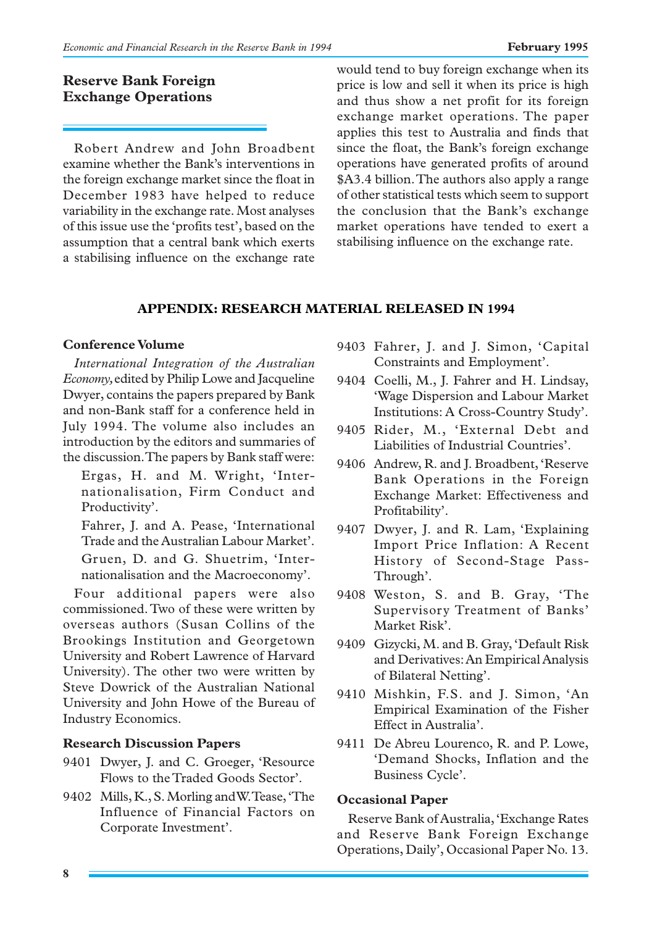## **Reserve Bank Foreign Exchange Operations**

Robert Andrew and John Broadbent examine whether the Bank's interventions in the foreign exchange market since the float in December 1983 have helped to reduce variability in the exchange rate. Most analyses of this issue use the 'profits test', based on the assumption that a central bank which exerts a stabilising influence on the exchange rate would tend to buy foreign exchange when its price is low and sell it when its price is high and thus show a net profit for its foreign exchange market operations. The paper applies this test to Australia and finds that since the float, the Bank's foreign exchange operations have generated profits of around \$A3.4 billion. The authors also apply a range of other statistical tests which seem to support the conclusion that the Bank's exchange market operations have tended to exert a stabilising influence on the exchange rate.

## **APPENDIX: RESEARCH MATERIAL RELEASED IN 1994**

#### **Conference Volume**

*International Integration of the Australian Economy,* edited by Philip Lowe and Jacqueline Dwyer, contains the papers prepared by Bank and non-Bank staff for a conference held in July 1994. The volume also includes an introduction by the editors and summaries of the discussion. The papers by Bank staff were:

Ergas, H. and M. Wright, 'Internationalisation, Firm Conduct and Productivity'.

Fahrer, J. and A. Pease, 'International Trade and the Australian Labour Market'. Gruen, D. and G. Shuetrim, 'Inter-

nationalisation and the Macroeconomy'.

Four additional papers were also commissioned. Two of these were written by overseas authors (Susan Collins of the Brookings Institution and Georgetown University and Robert Lawrence of Harvard University). The other two were written by Steve Dowrick of the Australian National University and John Howe of the Bureau of Industry Economics.

#### **Research Discussion Papers**

- 9401 Dwyer, J. and C. Groeger, 'Resource Flows to the Traded Goods Sector'.
- 9402 Mills, K., S. Morling and W. Tease, 'The Influence of Financial Factors on Corporate Investment'.
- 9403 Fahrer, J. and J. Simon, 'Capital Constraints and Employment'.
- 9404 Coelli, M., J. Fahrer and H. Lindsay, 'Wage Dispersion and Labour Market Institutions: A Cross-Country Study'.
- 9405 Rider, M., 'External Debt and Liabilities of Industrial Countries'.
- 9406 Andrew, R. and J. Broadbent, 'Reserve Bank Operations in the Foreign Exchange Market: Effectiveness and Profitability'.
- 9407 Dwyer, J. and R. Lam, 'Explaining Import Price Inflation: A Recent History of Second-Stage Pass-Through'.
- 9408 Weston, S. and B. Gray, 'The Supervisory Treatment of Banks' Market Risk'.
- 9409 Gizycki, M. and B. Gray, 'Default Risk and Derivatives: An Empirical Analysis of Bilateral Netting'.
- 9410 Mishkin, F.S. and J. Simon, 'An Empirical Examination of the Fisher Effect in Australia'.
- 9411 De Abreu Lourenco, R. and P. Lowe, 'Demand Shocks, Inflation and the Business Cycle'.

#### **Occasional Paper**

Reserve Bank of Australia, 'Exchange Rates and Reserve Bank Foreign Exchange Operations, Daily', Occasional Paper No. 13.